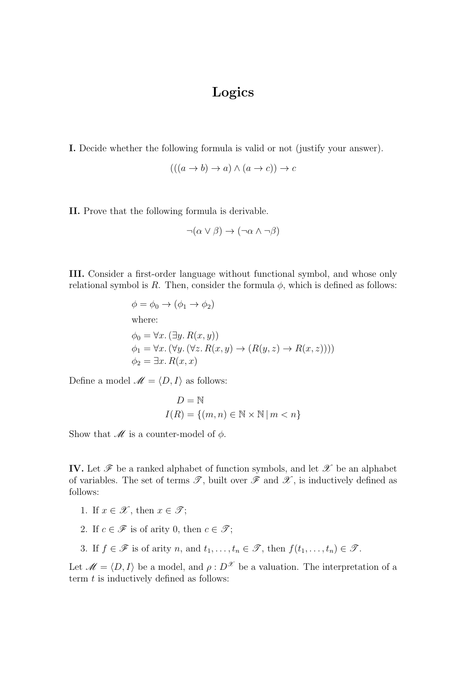## Logics

I. Decide whether the following formula is valid or not (justify your answer).

$$
(((a \to b) \to a) \land (a \to c)) \to c
$$

II. Prove that the following formula is derivable.

$$
\neg(\alpha \lor \beta) \to (\neg \alpha \land \neg \beta)
$$

III. Consider a first-order language without functional symbol, and whose only relational symbol is R. Then, consider the formula  $\phi$ , which is defined as follows:

$$
\phi = \phi_0 \rightarrow (\phi_1 \rightarrow \phi_2)
$$
  
where:  

$$
\phi_0 = \forall x. (\exists y. R(x, y))
$$
  

$$
\phi_1 = \forall x. (\forall y. (\forall z. R(x, y) \rightarrow (R(y, z) \rightarrow R(x, z))))
$$
  

$$
\phi_2 = \exists x. R(x, x)
$$

Define a model  $\mathscr{M} = \langle D, I \rangle$  as follows:

$$
D = \mathbb{N}
$$
  

$$
I(R) = \{(m, n) \in \mathbb{N} \times \mathbb{N} \mid m < n\}
$$

Show that  $\mathcal M$  is a counter-model of  $\phi$ .

IV. Let  $\mathscr F$  be a ranked alphabet of function symbols, and let  $\mathscr X$  be an alphabet of variables. The set of terms  $\mathscr{T}$ , built over  $\mathscr{F}$  and  $\mathscr{X}$ , is inductively defined as follows:

- 1. If  $x \in \mathscr{X}$ , then  $x \in \mathscr{T}$ ;
- 2. If  $c \in \mathscr{F}$  is of arity 0, then  $c \in \mathscr{T}$ ;
- 3. If  $f \in \mathscr{F}$  is of arity n, and  $t_1, \ldots, t_n \in \mathscr{T}$ , then  $f(t_1, \ldots, t_n) \in \mathscr{T}$ .

Let  $\mathcal{M} = \langle D, I \rangle$  be a model, and  $\rho : D^{\mathcal{X}}$  be a valuation. The interpretation of a term  $t$  is inductively defined as follows: